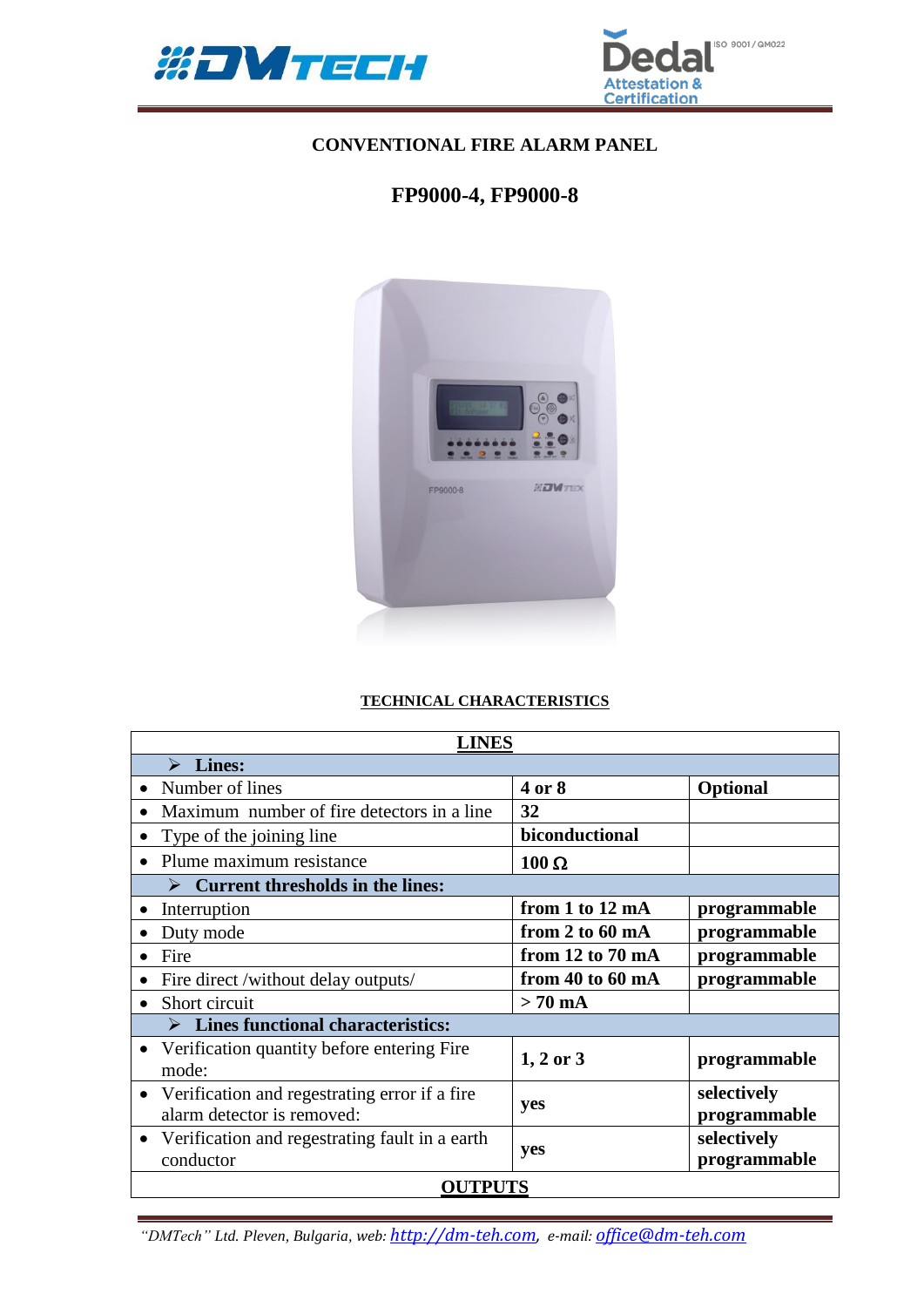



## **CONVENTIONAL FIRE ALARM PANEL**

# **FP9000-4, FP9000-8**



#### **TECHNICAL CHARACTERISTICS**

| <b>LINES</b>                                                                 |                  |                             |  |
|------------------------------------------------------------------------------|------------------|-----------------------------|--|
| Lines:<br>$\blacktriangleright$                                              |                  |                             |  |
| Number of lines                                                              | 4 or 8           | <b>Optional</b>             |  |
| Maximum number of fire detectors in a line                                   | 32               |                             |  |
| Type of the joining line                                                     | biconductional   |                             |  |
| Plume maximum resistance                                                     | 100 Ω            |                             |  |
| <b>Current thresholds in the lines:</b><br>⋗                                 |                  |                             |  |
| Interruption                                                                 | from 1 to 12 mA  | programmable                |  |
| Duty mode                                                                    | from 2 to 60 mA  | programmable                |  |
| Fire                                                                         | from 12 to 70 mA | programmable                |  |
| Fire direct /without delay outputs/                                          | from 40 to 60 mA | programmable                |  |
| Short circuit                                                                | $> 70$ mA        |                             |  |
| $\triangleright$ Lines functional characteristics:                           |                  |                             |  |
| Verification quantity before entering Fire<br>mode:                          | $1, 2$ or $3$    | programmable                |  |
| Verification and regestrating error if a fire.<br>alarm detector is removed: | yes              | selectively<br>programmable |  |
| Verification and regestrating fault in a earth<br>conductor                  | yes              | selectively<br>programmable |  |
| <b>OUTPUTS</b>                                                               |                  |                             |  |

*"DMTech" Ltd. Pleven, Bulgaria, web: [http://dm-teh.com,](http://dm-teh.com/) e-mail: [office@dm-teh.com](mailto:office@dm-teh.com)*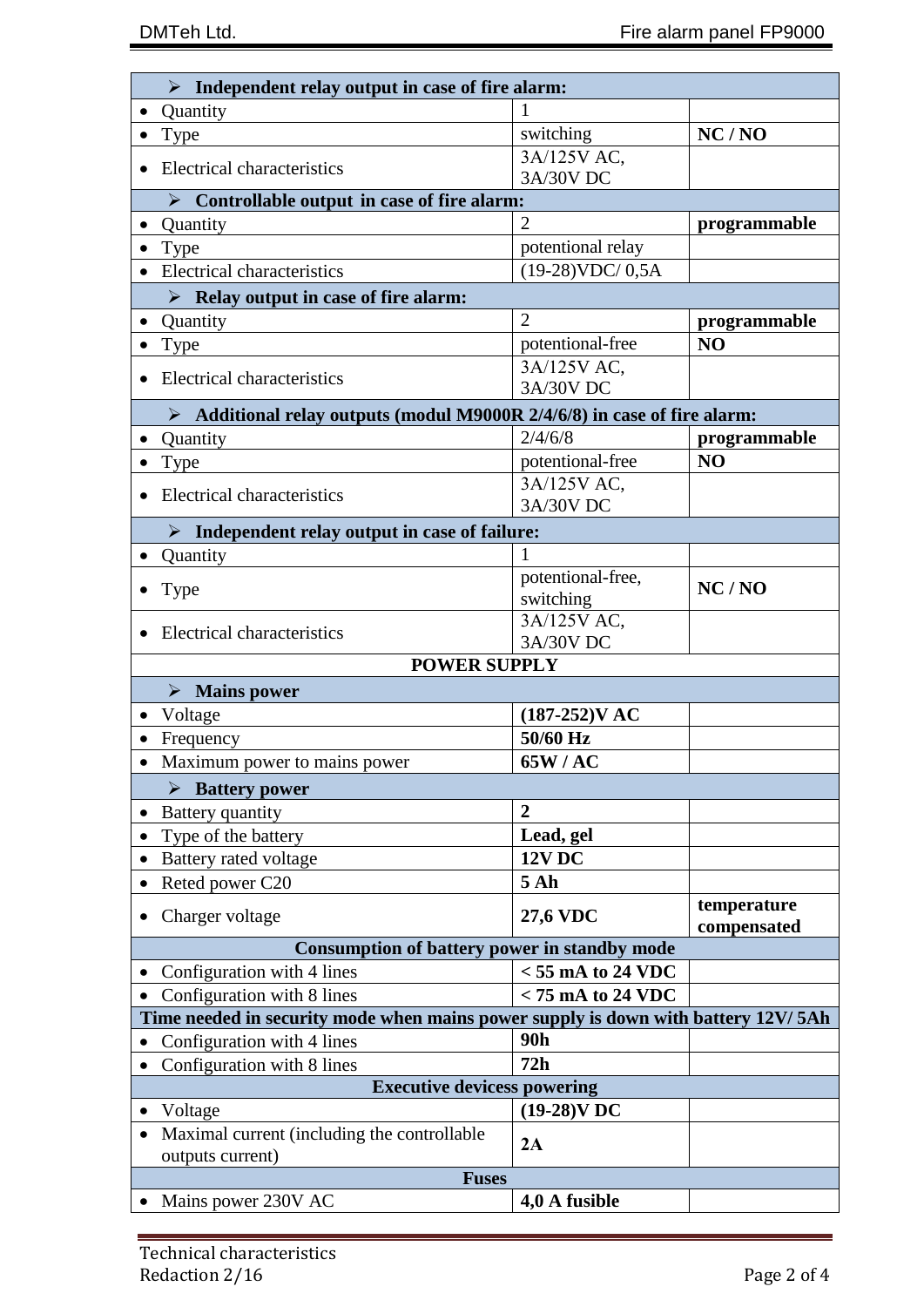| $\triangleright$ Independent relay output in case of fire alarm:                  |                          |                            |
|-----------------------------------------------------------------------------------|--------------------------|----------------------------|
| Quantity                                                                          |                          |                            |
| <b>Type</b>                                                                       | switching                | NC/NO                      |
| Electrical characteristics                                                        | 3A/125V AC,              |                            |
|                                                                                   | 3A/30V DC                |                            |
| $\triangleright$ Controllable output in case of fire alarm:                       |                          |                            |
| Quantity                                                                          | $\overline{2}$           | programmable               |
| Type                                                                              | potentional relay        |                            |
| <b>Electrical characteristics</b>                                                 | (19-28) VDC/0,5A         |                            |
| $\triangleright$ Relay output in case of fire alarm:                              |                          |                            |
| Quantity                                                                          | $\overline{2}$           | programmable               |
| Type                                                                              | potentional-free         | N <sub>O</sub>             |
| <b>Electrical characteristics</b>                                                 | 3A/125V AC,<br>3A/30V DC |                            |
| Additional relay outputs (modul M9000R 2/4/6/8) in case of fire alarm:            |                          |                            |
| Quantity                                                                          | 2/4/6/8                  | programmable               |
| <b>Type</b>                                                                       | potentional-free         | N <sub>O</sub>             |
| <b>Electrical characteristics</b>                                                 | 3A/125V AC,              |                            |
|                                                                                   | 3A/30V DC                |                            |
| $\triangleright$ Independent relay output in case of failure:                     |                          |                            |
| Quantity                                                                          |                          |                            |
|                                                                                   | potentional-free,        | NC/NO                      |
| Type                                                                              | switching                |                            |
| <b>Electrical characteristics</b>                                                 | 3A/125V AC,              |                            |
|                                                                                   | 3A/30V DC                |                            |
| <b>POWER SUPPLY</b>                                                               |                          |                            |
| $\blacktriangleright$<br><b>Mains power</b>                                       |                          |                            |
| Voltage                                                                           | $(187-252)VAC$           |                            |
| Frequency                                                                         | 50/60 Hz                 |                            |
| Maximum power to mains power                                                      | 65W/AC                   |                            |
| <b>Battery power</b><br>➤                                                         |                          |                            |
| Battery quantity                                                                  | $\overline{2}$           |                            |
| Type of the battery                                                               | Lead, gel                |                            |
| Battery rated voltage                                                             | <b>12V DC</b>            |                            |
| Reted power C20                                                                   | 5Ah                      |                            |
| Charger voltage                                                                   | <b>27,6 VDC</b>          | temperature<br>compensated |
| <b>Consumption of battery power in standby mode</b>                               |                          |                            |
| Configuration with 4 lines                                                        | $< 55$ mA to 24 VDC      |                            |
| Configuration with 8 lines                                                        | $< 75$ mA to 24 VDC      |                            |
| Time needed in security mode when mains power supply is down with battery 12V/5Ah |                          |                            |
| Configuration with 4 lines                                                        | 90h                      |                            |
| Configuration with 8 lines                                                        | 72h                      |                            |
| <b>Executive devicess powering</b>                                                |                          |                            |
| Voltage                                                                           | $(19-28)VDC$             |                            |
| Maximal current (including the controllable                                       | 2A                       |                            |
| outputs current)                                                                  |                          |                            |
| <b>Fuses</b>                                                                      |                          |                            |
| Mains power 230V AC                                                               | 4,0 A fusible            |                            |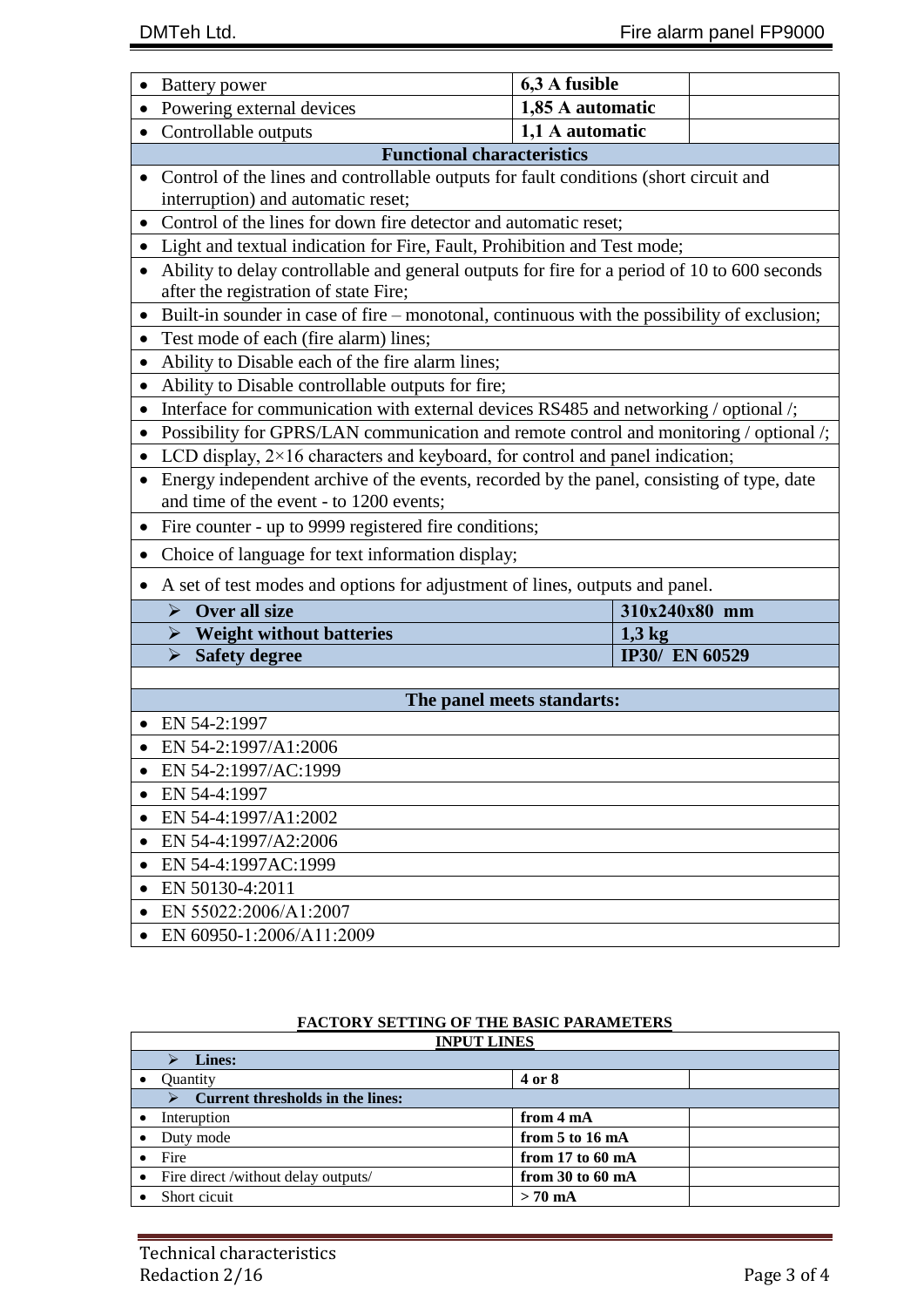| <b>Battery</b> power                                                                                                                              | 6,3 A fusible                                                                                |  |  |
|---------------------------------------------------------------------------------------------------------------------------------------------------|----------------------------------------------------------------------------------------------|--|--|
| Powering external devices                                                                                                                         | 1,85 A automatic                                                                             |  |  |
| Controllable outputs                                                                                                                              | 1,1 A automatic                                                                              |  |  |
| <b>Functional characteristics</b>                                                                                                                 |                                                                                              |  |  |
|                                                                                                                                                   | Control of the lines and controllable outputs for fault conditions (short circuit and        |  |  |
|                                                                                                                                                   | interruption) and automatic reset;                                                           |  |  |
|                                                                                                                                                   | Control of the lines for down fire detector and automatic reset;                             |  |  |
|                                                                                                                                                   | Light and textual indication for Fire, Fault, Prohibition and Test mode;                     |  |  |
| after the registration of state Fire;                                                                                                             | Ability to delay controllable and general outputs for fire for a period of 10 to 600 seconds |  |  |
| Built-in sounder in case of fire – monotonal, continuous with the possibility of exclusion;                                                       |                                                                                              |  |  |
| Test mode of each (fire alarm) lines;                                                                                                             |                                                                                              |  |  |
|                                                                                                                                                   | Ability to Disable each of the fire alarm lines;                                             |  |  |
| Ability to Disable controllable outputs for fire;                                                                                                 |                                                                                              |  |  |
| Interface for communication with external devices RS485 and networking / optional /;                                                              |                                                                                              |  |  |
|                                                                                                                                                   | Possibility for GPRS/LAN communication and remote control and monitoring / optional /;       |  |  |
| LCD display, $2 \times 16$ characters and keyboard, for control and panel indication;                                                             |                                                                                              |  |  |
| Energy independent archive of the events, recorded by the panel, consisting of type, date<br>$\bullet$<br>and time of the event - to 1200 events; |                                                                                              |  |  |
| Fire counter - up to 9999 registered fire conditions;<br>$\bullet$                                                                                |                                                                                              |  |  |
| Choice of language for text information display;                                                                                                  |                                                                                              |  |  |
| A set of test modes and options for adjustment of lines, outputs and panel.                                                                       |                                                                                              |  |  |
| $\triangleright$ Over all size                                                                                                                    | 310x240x80 mm                                                                                |  |  |
| <b>Weight without batteries</b><br>➤                                                                                                              | $1,3$ kg                                                                                     |  |  |
| $\triangleright$ Safety degree                                                                                                                    | IP30/ EN 60529                                                                               |  |  |
|                                                                                                                                                   |                                                                                              |  |  |
|                                                                                                                                                   | The panel meets standarts:                                                                   |  |  |
|                                                                                                                                                   | EN 54-2:1997                                                                                 |  |  |
| EN 54-2:1997/A1:2006                                                                                                                              |                                                                                              |  |  |
| EN 54-2:1997/AC:1999                                                                                                                              |                                                                                              |  |  |
| EN 54-4:1997<br>EN 54-4:1997/A1:2002                                                                                                              |                                                                                              |  |  |
| $\bullet$<br>EN 54-4:1997/A2:2006                                                                                                                 |                                                                                              |  |  |
| $\bullet$<br>EN 54-4:1997AC:1999                                                                                                                  |                                                                                              |  |  |
| EN 50130-4:2011                                                                                                                                   |                                                                                              |  |  |
| EN 55022:2006/A1:2007                                                                                                                             |                                                                                              |  |  |
| EN 60950-1:2006/A11:2009                                                                                                                          |                                                                                              |  |  |
|                                                                                                                                                   |                                                                                              |  |  |

| <b>FACTORY SETTING OF THE BASIC PARAMETERS</b> |  |
|------------------------------------------------|--|
| <b>TUINTIM T TUING</b>                         |  |

| <b>INPUT LINES</b>                      |                      |  |
|-----------------------------------------|----------------------|--|
| <b>Lines:</b>                           |                      |  |
| Quantity                                | 4 or 8               |  |
| <b>Current thresholds in the lines:</b> |                      |  |
| Interuption                             | from 4 mA            |  |
| Duty mode                               | from 5 to 16 mA      |  |
| Fire                                    | from $17$ to $60$ mA |  |
| Fire direct/without delay outputs/      | from 30 to 60 mA     |  |
| Short cicuit                            | $> 70 \text{ mA}$    |  |